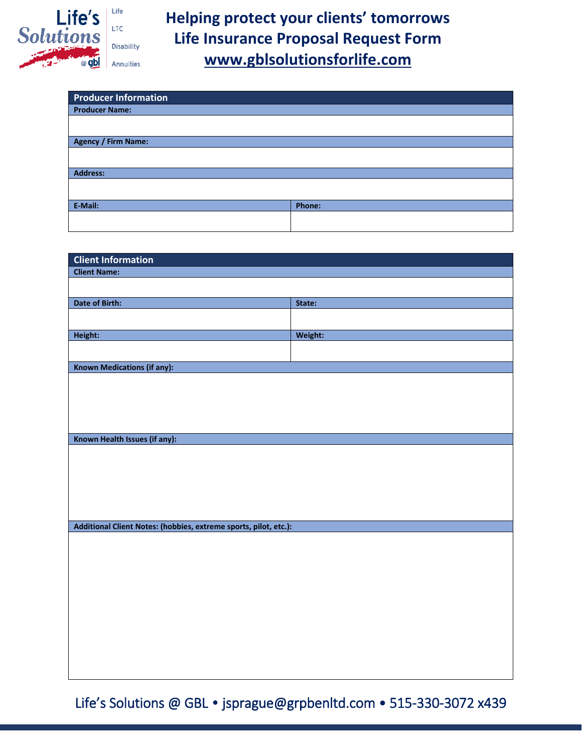

**Helping protect your clients' tomorrows Life Insurance Proposal Request Form [www.gblsolutionsforlife.com](http://www.gblsolutionsforlife.com/)**

| <b>Producer Information</b> |        |
|-----------------------------|--------|
| <b>Producer Name:</b>       |        |
|                             |        |
|                             |        |
| <b>Agency / Firm Name:</b>  |        |
|                             |        |
|                             |        |
| <b>Address:</b>             |        |
|                             |        |
|                             |        |
| E-Mail:                     | Phone: |
|                             |        |
|                             |        |

| <b>Client Information</b>                                        |         |  |
|------------------------------------------------------------------|---------|--|
| <b>Client Name:</b>                                              |         |  |
|                                                                  |         |  |
| Date of Birth:                                                   | State:  |  |
|                                                                  |         |  |
| Height:                                                          | Weight: |  |
|                                                                  |         |  |
| <b>Known Medications (if any):</b>                               |         |  |
|                                                                  |         |  |
| Known Health Issues (if any):                                    |         |  |
| Additional Client Notes: (hobbies, extreme sports, pilot, etc.): |         |  |
|                                                                  |         |  |
|                                                                  |         |  |

Life's Solutions @ GBL • jsprague@grpbenltd.com • 515-330-3072 x439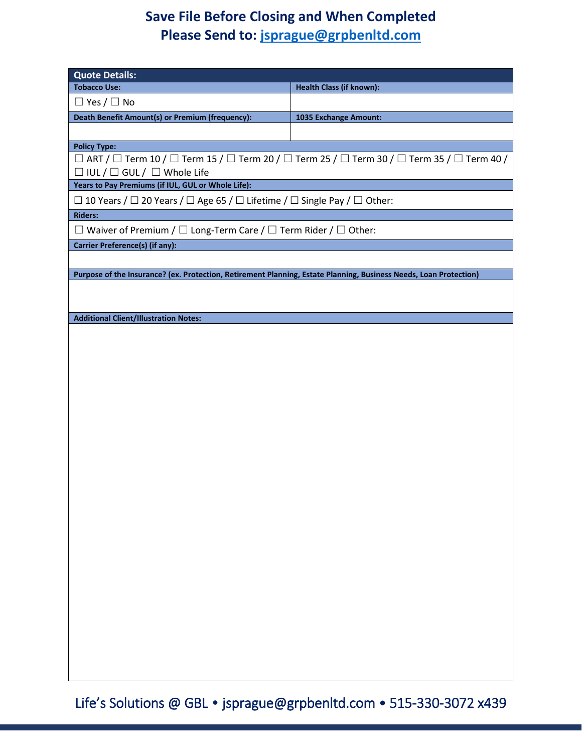## **Save File Before Closing and When Completed Please Send to: [jsprague@grpbenltd.com](mailto:jsprague@grpbenltd.com)**

| <b>Quote Details:</b>                                                                                             |                                                                                                                                     |  |  |
|-------------------------------------------------------------------------------------------------------------------|-------------------------------------------------------------------------------------------------------------------------------------|--|--|
| <b>Tobacco Use:</b>                                                                                               | Health Class (if known):                                                                                                            |  |  |
| $\Box$ Yes / $\Box$ No                                                                                            |                                                                                                                                     |  |  |
| Death Benefit Amount(s) or Premium (frequency):                                                                   | 1035 Exchange Amount:                                                                                                               |  |  |
|                                                                                                                   |                                                                                                                                     |  |  |
| <b>Policy Type:</b>                                                                                               |                                                                                                                                     |  |  |
|                                                                                                                   | $\Box$ ART / $\Box$ Term 10 / $\Box$ Term 15 / $\Box$ Term 20 / $\Box$ Term 25 / $\Box$ Term 30 / $\Box$ Term 35 / $\Box$ Term 40 / |  |  |
| $\Box$ IUL / $\Box$ GUL / $\Box$ Whole Life                                                                       |                                                                                                                                     |  |  |
| Years to Pay Premiums (if IUL, GUL or Whole Life):                                                                |                                                                                                                                     |  |  |
| $\Box$ 10 Years / $\Box$ 20 Years / $\Box$ Age 65 / $\Box$ Lifetime / $\Box$ Single Pay / $\Box$ Other:           |                                                                                                                                     |  |  |
| <b>Riders:</b>                                                                                                    |                                                                                                                                     |  |  |
| $\Box$ Waiver of Premium / $\Box$ Long-Term Care / $\Box$ Term Rider / $\Box$ Other:                              |                                                                                                                                     |  |  |
| Carrier Preference(s) (if any):                                                                                   |                                                                                                                                     |  |  |
|                                                                                                                   |                                                                                                                                     |  |  |
| Purpose of the Insurance? (ex. Protection, Retirement Planning, Estate Planning, Business Needs, Loan Protection) |                                                                                                                                     |  |  |
|                                                                                                                   |                                                                                                                                     |  |  |
|                                                                                                                   |                                                                                                                                     |  |  |
| <b>Additional Client/Illustration Notes:</b>                                                                      |                                                                                                                                     |  |  |
|                                                                                                                   |                                                                                                                                     |  |  |
|                                                                                                                   |                                                                                                                                     |  |  |
|                                                                                                                   |                                                                                                                                     |  |  |
|                                                                                                                   |                                                                                                                                     |  |  |
|                                                                                                                   |                                                                                                                                     |  |  |
|                                                                                                                   |                                                                                                                                     |  |  |
|                                                                                                                   |                                                                                                                                     |  |  |
|                                                                                                                   |                                                                                                                                     |  |  |
|                                                                                                                   |                                                                                                                                     |  |  |
|                                                                                                                   |                                                                                                                                     |  |  |
|                                                                                                                   |                                                                                                                                     |  |  |
|                                                                                                                   |                                                                                                                                     |  |  |
|                                                                                                                   |                                                                                                                                     |  |  |
|                                                                                                                   |                                                                                                                                     |  |  |
|                                                                                                                   |                                                                                                                                     |  |  |
|                                                                                                                   |                                                                                                                                     |  |  |
|                                                                                                                   |                                                                                                                                     |  |  |
|                                                                                                                   |                                                                                                                                     |  |  |
|                                                                                                                   |                                                                                                                                     |  |  |
|                                                                                                                   |                                                                                                                                     |  |  |
|                                                                                                                   |                                                                                                                                     |  |  |
|                                                                                                                   |                                                                                                                                     |  |  |
|                                                                                                                   |                                                                                                                                     |  |  |
|                                                                                                                   |                                                                                                                                     |  |  |
|                                                                                                                   |                                                                                                                                     |  |  |

Life's Solutions @ GBL • jsprague@grpbenltd.com • 515-330-3072 x439